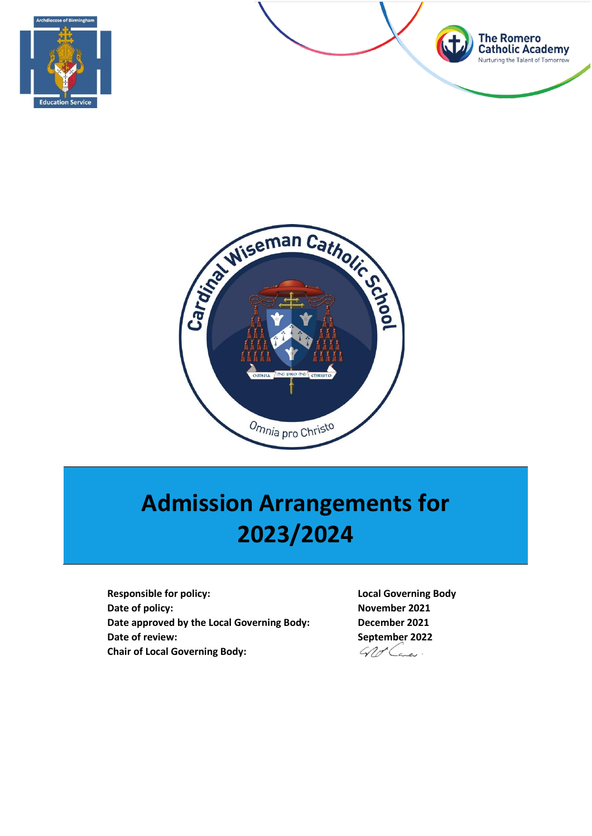





# **Admission Arrangements for 2023/2024**

**Responsible for policy: Local Governing Body Date of policy:** November 2021 **Date approved by the Local Governing Body: December 2021 Date of review: September 2022 Chair of Local Governing Body:**

Wo Lane.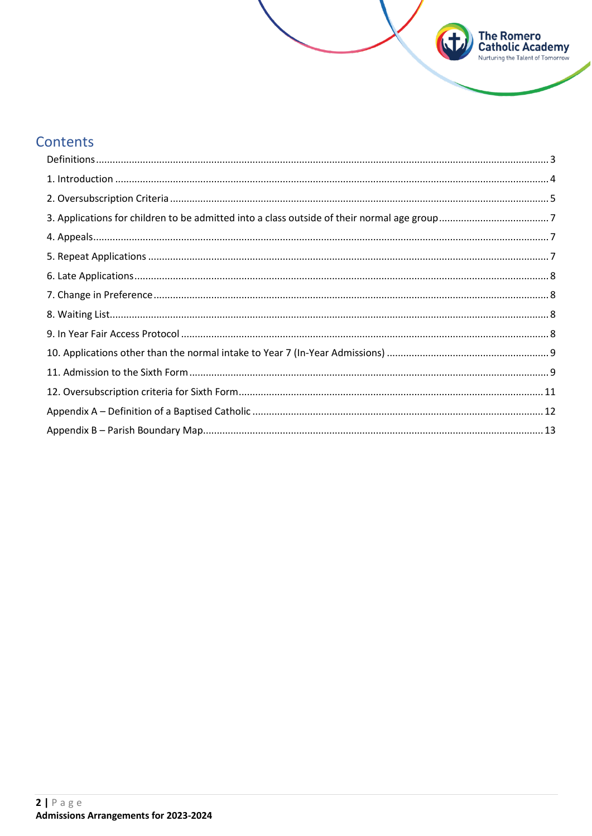# Contents

| $\begin{minipage}[c]{0.9\linewidth} \textbf{1. Introduction} \end{minipage}[a] \begin{minipage}[c]{0.9\linewidth} \textbf{2.0} \end{minipage}[b] \begin{minipage}[c]{0.9\linewidth} \textbf{3.0} \end{minipage}[c]{0.9\linewidth} \textbf{4.0} \end{minipage} \begin{minipage}[c]{0.9\linewidth} \textbf{5.0} \end{minipage} \begin{minipage}[c]{0.9\linewidth} \textbf{6.0} \end{minipage} \begin{minipage}[c]{0.9\linewidth} \textbf{6.0} \end{minipage} \begin{minipage}[c]{0.9\$ |  |
|--------------------------------------------------------------------------------------------------------------------------------------------------------------------------------------------------------------------------------------------------------------------------------------------------------------------------------------------------------------------------------------------------------------------------------------------------------------------------------------|--|
|                                                                                                                                                                                                                                                                                                                                                                                                                                                                                      |  |
|                                                                                                                                                                                                                                                                                                                                                                                                                                                                                      |  |
|                                                                                                                                                                                                                                                                                                                                                                                                                                                                                      |  |
|                                                                                                                                                                                                                                                                                                                                                                                                                                                                                      |  |
|                                                                                                                                                                                                                                                                                                                                                                                                                                                                                      |  |
|                                                                                                                                                                                                                                                                                                                                                                                                                                                                                      |  |
|                                                                                                                                                                                                                                                                                                                                                                                                                                                                                      |  |
|                                                                                                                                                                                                                                                                                                                                                                                                                                                                                      |  |
|                                                                                                                                                                                                                                                                                                                                                                                                                                                                                      |  |
|                                                                                                                                                                                                                                                                                                                                                                                                                                                                                      |  |
|                                                                                                                                                                                                                                                                                                                                                                                                                                                                                      |  |
|                                                                                                                                                                                                                                                                                                                                                                                                                                                                                      |  |
|                                                                                                                                                                                                                                                                                                                                                                                                                                                                                      |  |

**The Romero<br>Catholic Academy**<br>Nurturing the Talent of Tomorrow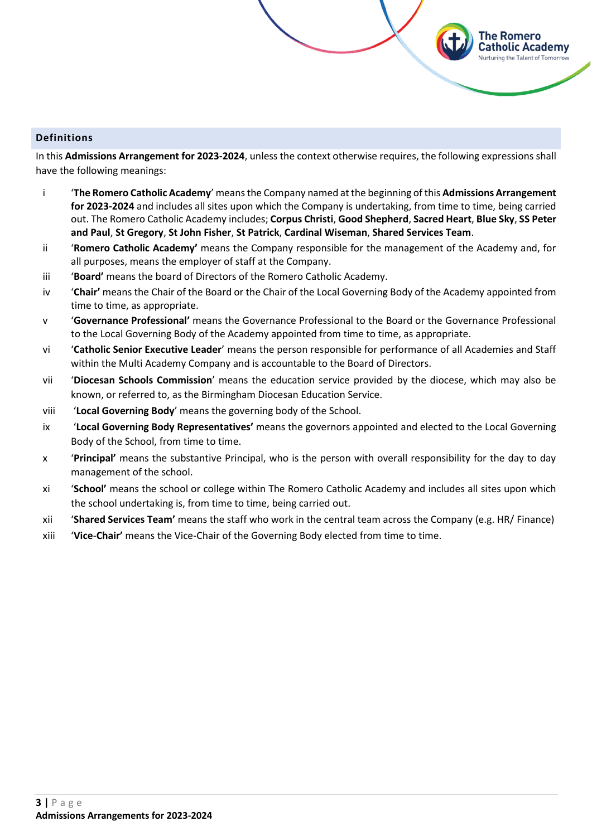# <span id="page-2-0"></span>**Definitions**

In this **Admissions Arrangement for 2023-2024**, unless the context otherwise requires, the following expressions shall have the following meanings:

The Romero Catholic Academy **Jurturing the Talent of Tomorrow** 

- i '**The Romero Catholic Academy**' means the Company named at the beginning of this **Admissions Arrangement for 2023-2024** and includes all sites upon which the Company is undertaking, from time to time, being carried out. The Romero Catholic Academy includes; **Corpus Christi**, **Good Shepherd**, **Sacred Heart**, **Blue Sky**, **SS Peter and Paul**, **St Gregory**, **St John Fisher**, **St Patrick**, **Cardinal Wiseman**, **Shared Services Team**.
- ii '**Romero Catholic Academy'** means the Company responsible for the management of the Academy and, for all purposes, means the employer of staff at the Company.
- iii '**Board'** means the board of Directors of the Romero Catholic Academy.
- iv '**Chair'** means the Chair of the Board or the Chair of the Local Governing Body of the Academy appointed from time to time, as appropriate.
- v '**Governance Professional'** means the Governance Professional to the Board or the Governance Professional to the Local Governing Body of the Academy appointed from time to time, as appropriate.
- vi '**Catholic Senior Executive Leader**' means the person responsible for performance of all Academies and Staff within the Multi Academy Company and is accountable to the Board of Directors.
- vii '**Diocesan Schools Commission**' means the education service provided by the diocese, which may also be known, or referred to, as the Birmingham Diocesan Education Service.
- viii '**Local Governing Body**' means the governing body of the School.
- ix '**Local Governing Body Representatives'** means the governors appointed and elected to the Local Governing Body of the School, from time to time.
- x '**Principal'** means the substantive Principal, who is the person with overall responsibility for the day to day management of the school.
- xi '**School'** means the school or college within The Romero Catholic Academy and includes all sites upon which the school undertaking is, from time to time, being carried out.
- xii '**Shared Services Team'** means the staff who work in the central team across the Company (e.g. HR/ Finance)
- xiii '**Vice**-**Chair'** means the Vice-Chair of the Governing Body elected from time to time.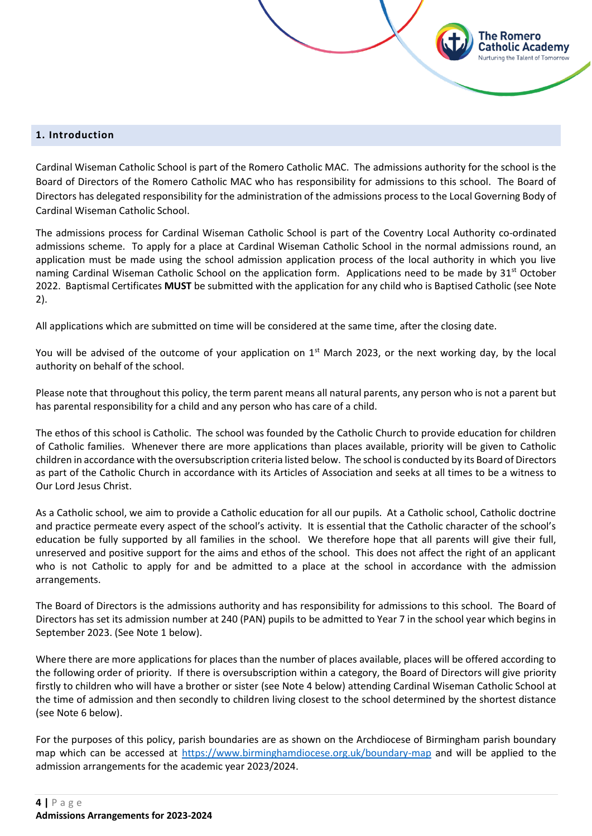#### <span id="page-3-0"></span>**1. Introduction**

Cardinal Wiseman Catholic School is part of the Romero Catholic MAC. The admissions authority for the school is the Board of Directors of the Romero Catholic MAC who has responsibility for admissions to this school. The Board of Directors has delegated responsibility for the administration of the admissions process to the Local Governing Body of Cardinal Wiseman Catholic School.

'he Romero atholic Academy

The admissions process for Cardinal Wiseman Catholic School is part of the Coventry Local Authority co-ordinated admissions scheme. To apply for a place at Cardinal Wiseman Catholic School in the normal admissions round, an application must be made using the school admission application process of the local authority in which you live naming Cardinal Wiseman Catholic School on the application form. Applications need to be made by 31<sup>st</sup> October 2022. Baptismal Certificates **MUST** be submitted with the application for any child who is Baptised Catholic (see Note 2).

All applications which are submitted on time will be considered at the same time, after the closing date.

You will be advised of the outcome of your application on 1<sup>st</sup> March 2023, or the next working day, by the local authority on behalf of the school.

Please note that throughout this policy, the term parent means all natural parents, any person who is not a parent but has parental responsibility for a child and any person who has care of a child.

The ethos of this school is Catholic. The school was founded by the Catholic Church to provide education for children of Catholic families. Whenever there are more applications than places available, priority will be given to Catholic children in accordance with the oversubscription criteria listed below. The school is conducted by its Board of Directors as part of the Catholic Church in accordance with its Articles of Association and seeks at all times to be a witness to Our Lord Jesus Christ.

As a Catholic school, we aim to provide a Catholic education for all our pupils. At a Catholic school, Catholic doctrine and practice permeate every aspect of the school's activity. It is essential that the Catholic character of the school's education be fully supported by all families in the school. We therefore hope that all parents will give their full, unreserved and positive support for the aims and ethos of the school. This does not affect the right of an applicant who is not Catholic to apply for and be admitted to a place at the school in accordance with the admission arrangements.

The Board of Directors is the admissions authority and has responsibility for admissions to this school. The Board of Directors has set its admission number at 240 (PAN) pupils to be admitted to Year 7 in the school year which begins in September 2023. (See Note 1 below).

Where there are more applications for places than the number of places available, places will be offered according to the following order of priority. If there is oversubscription within a category, the Board of Directors will give priority firstly to children who will have a brother or sister (see Note 4 below) attending Cardinal Wiseman Catholic School at the time of admission and then secondly to children living closest to the school determined by the shortest distance (see Note 6 below).

For the purposes of this policy, parish boundaries are as shown on the Archdiocese of Birmingham parish boundary map which can be accessed at<https://www.birminghamdiocese.org.uk/boundary-map> and will be applied to the admission arrangements for the academic year 2023/2024.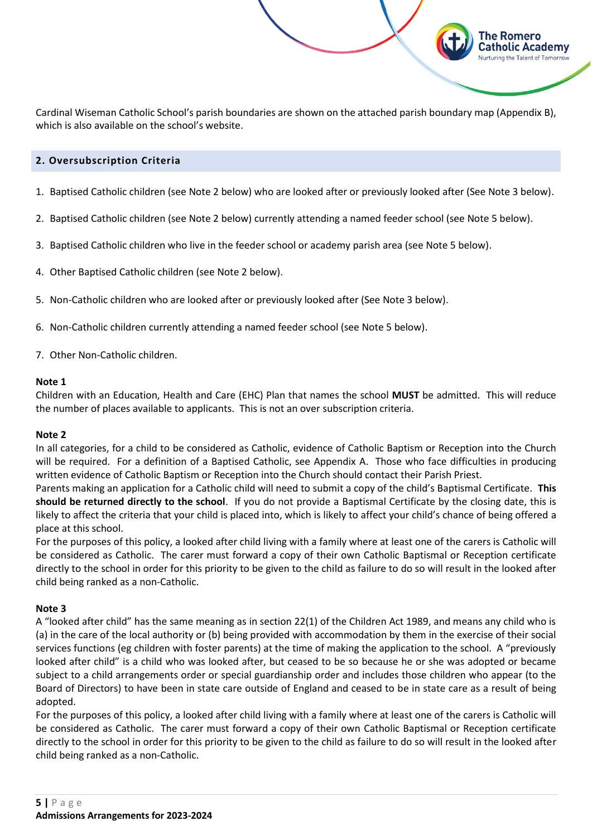Cardinal Wiseman Catholic School's parish boundaries are shown on the attached parish boundary map (Appendix B), which is also available on the school's website.

The Romero Catholic Academy Nurturing the Talent of Tomorrow

# <span id="page-4-0"></span>**2. Oversubscription Criteria**

- 1. Baptised Catholic children (see Note 2 below) who are looked after or previously looked after (See Note 3 below).
- 2. Baptised Catholic children (see Note 2 below) currently attending a named feeder school (see Note 5 below).
- 3. Baptised Catholic children who live in the feeder school or academy parish area (see Note 5 below).
- 4. Other Baptised Catholic children (see Note 2 below).
- 5. Non-Catholic children who are looked after or previously looked after (See Note 3 below).
- 6. Non-Catholic children currently attending a named feeder school (see Note 5 below).
- 7. Other Non-Catholic children.

#### **Note 1**

Children with an Education, Health and Care (EHC) Plan that names the school **MUST** be admitted. This will reduce the number of places available to applicants. This is not an over subscription criteria.

#### **Note 2**

In all categories, for a child to be considered as Catholic, evidence of Catholic Baptism or Reception into the Church will be required. For a definition of a Baptised Catholic, see Appendix A. Those who face difficulties in producing written evidence of Catholic Baptism or Reception into the Church should contact their Parish Priest.

Parents making an application for a Catholic child will need to submit a copy of the child's Baptismal Certificate. **This should be returned directly to the school**. If you do not provide a Baptismal Certificate by the closing date, this is likely to affect the criteria that your child is placed into, which is likely to affect your child's chance of being offered a place at this school.

For the purposes of this policy, a looked after child living with a family where at least one of the carers is Catholic will be considered as Catholic. The carer must forward a copy of their own Catholic Baptismal or Reception certificate directly to the school in order for this priority to be given to the child as failure to do so will result in the looked after child being ranked as a non-Catholic.

#### **Note 3**

A "looked after child" has the same meaning as in section 22(1) of the Children Act 1989, and means any child who is (a) in the care of the local authority or (b) being provided with accommodation by them in the exercise of their social services functions (eg children with foster parents) at the time of making the application to the school. A "previously looked after child" is a child who was looked after, but ceased to be so because he or she was adopted or became subject to a child arrangements order or special guardianship order and includes those children who appear (to the Board of Directors) to have been in state care outside of England and ceased to be in state care as a result of being adopted.

For the purposes of this policy, a looked after child living with a family where at least one of the carers is Catholic will be considered as Catholic. The carer must forward a copy of their own Catholic Baptismal or Reception certificate directly to the school in order for this priority to be given to the child as failure to do so will result in the looked after child being ranked as a non-Catholic.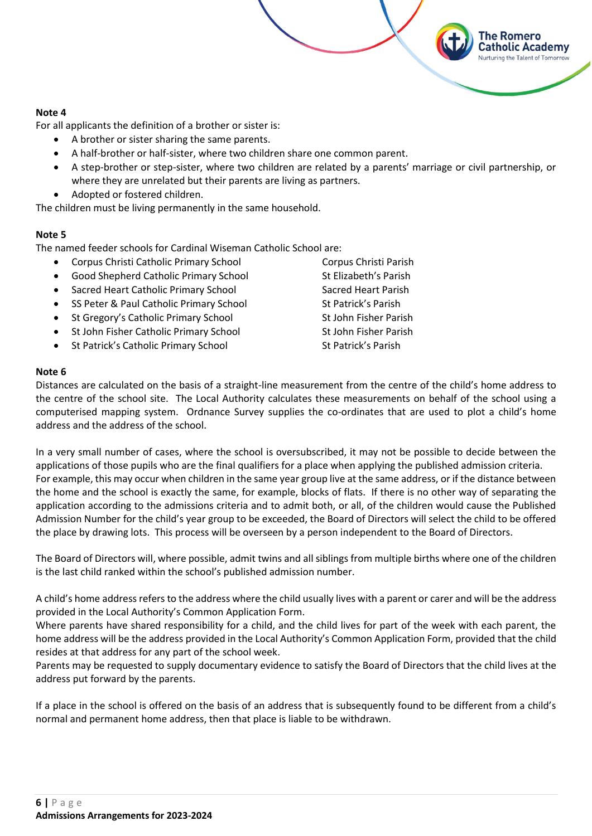# **Note 4**

For all applicants the definition of a brother or sister is:

- A brother or sister sharing the same parents.
- A half-brother or half-sister, where two children share one common parent.
- A step-brother or step-sister, where two children are related by a parents' marriage or civil partnership, or where they are unrelated but their parents are living as partners.
- Adopted or fostered children.

The children must be living permanently in the same household.

# **Note 5**

The named feeder schools for Cardinal Wiseman Catholic School are:

- Corpus Christi Catholic Primary School Corpus Christi Parish
- Good Shepherd Catholic Primary School St Elizabeth's Parish
- **Sacred Heart Catholic Primary School Sacred Heart Parish**
- SS Peter & Paul Catholic Primary School St Patrick's Parish
- St Gregory's Catholic Primary School St John Fisher Parish
- St John Fisher Catholic Primary School St John Fisher Parish
- St Patrick's Catholic Primary School St Patrick's Parish

The Romero atholic Academy:

#### **Note 6**

Distances are calculated on the basis of a straight-line measurement from the centre of the child's home address to the centre of the school site. The Local Authority calculates these measurements on behalf of the school using a computerised mapping system. Ordnance Survey supplies the co-ordinates that are used to plot a child's home address and the address of the school.

In a very small number of cases, where the school is oversubscribed, it may not be possible to decide between the applications of those pupils who are the final qualifiers for a place when applying the published admission criteria. For example, this may occur when children in the same year group live at the same address, or if the distance between the home and the school is exactly the same, for example, blocks of flats. If there is no other way of separating the application according to the admissions criteria and to admit both, or all, of the children would cause the Published Admission Number for the child's year group to be exceeded, the Board of Directors will select the child to be offered the place by drawing lots. This process will be overseen by a person independent to the Board of Directors.

The Board of Directors will, where possible, admit twins and all siblings from multiple births where one of the children is the last child ranked within the school's published admission number.

A child's home address refers to the address where the child usually lives with a parent or carer and will be the address provided in the Local Authority's Common Application Form.

Where parents have shared responsibility for a child, and the child lives for part of the week with each parent, the home address will be the address provided in the Local Authority's Common Application Form, provided that the child resides at that address for any part of the school week.

Parents may be requested to supply documentary evidence to satisfy the Board of Directors that the child lives at the address put forward by the parents.

If a place in the school is offered on the basis of an address that is subsequently found to be different from a child's normal and permanent home address, then that place is liable to be withdrawn.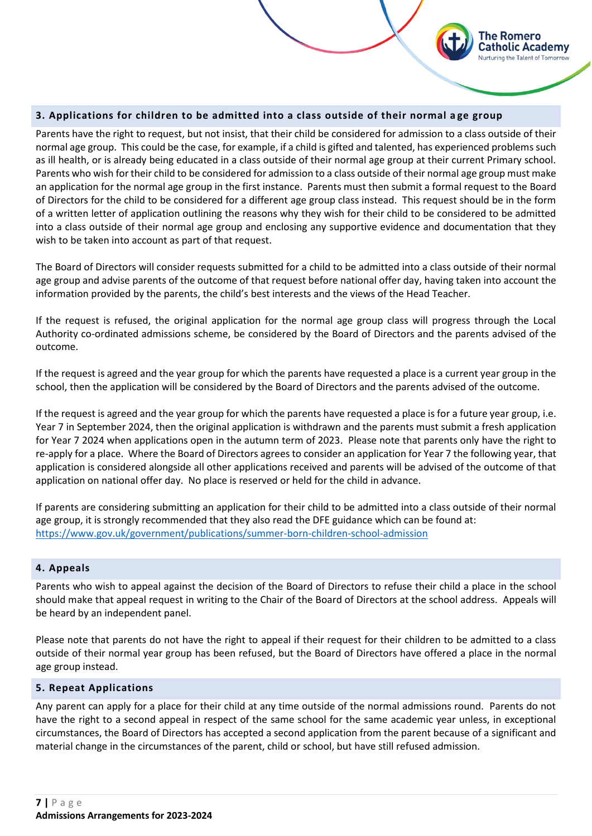# <span id="page-6-0"></span>**3. Applications for children to be admitted into a class outside of their normal a ge group**

Parents have the right to request, but not insist, that their child be considered for admission to a class outside of their normal age group. This could be the case, for example, if a child is gifted and talented, has experienced problems such as ill health, or is already being educated in a class outside of their normal age group at their current Primary school. Parents who wish for their child to be considered for admission to a class outside of their normal age group must make an application for the normal age group in the first instance. Parents must then submit a formal request to the Board of Directors for the child to be considered for a different age group class instead. This request should be in the form of a written letter of application outlining the reasons why they wish for their child to be considered to be admitted into a class outside of their normal age group and enclosing any supportive evidence and documentation that they wish to be taken into account as part of that request.

The Romero atholic Academv

The Board of Directors will consider requests submitted for a child to be admitted into a class outside of their normal age group and advise parents of the outcome of that request before national offer day, having taken into account the information provided by the parents, the child's best interests and the views of the Head Teacher.

If the request is refused, the original application for the normal age group class will progress through the Local Authority co-ordinated admissions scheme, be considered by the Board of Directors and the parents advised of the outcome.

If the request is agreed and the year group for which the parents have requested a place is a current year group in the school, then the application will be considered by the Board of Directors and the parents advised of the outcome.

If the request is agreed and the year group for which the parents have requested a place is for a future year group, i.e. Year 7 in September 2024, then the original application is withdrawn and the parents must submit a fresh application for Year 7 2024 when applications open in the autumn term of 2023. Please note that parents only have the right to re-apply for a place. Where the Board of Directors agrees to consider an application for Year 7 the following year, that application is considered alongside all other applications received and parents will be advised of the outcome of that application on national offer day. No place is reserved or held for the child in advance.

If parents are considering submitting an application for their child to be admitted into a class outside of their normal age group, it is strongly recommended that they also read the DFE guidance which can be found at: <https://www.gov.uk/government/publications/summer-born-children-school-admission>

#### <span id="page-6-1"></span>**4. Appeals**

Parents who wish to appeal against the decision of the Board of Directors to refuse their child a place in the school should make that appeal request in writing to the Chair of the Board of Directors at the school address. Appeals will be heard by an independent panel.

Please note that parents do not have the right to appeal if their request for their children to be admitted to a class outside of their normal year group has been refused, but the Board of Directors have offered a place in the normal age group instead.

#### <span id="page-6-2"></span>**5. Repeat Applications**

Any parent can apply for a place for their child at any time outside of the normal admissions round. Parents do not have the right to a second appeal in respect of the same school for the same academic year unless, in exceptional circumstances, the Board of Directors has accepted a second application from the parent because of a significant and material change in the circumstances of the parent, child or school, but have still refused admission.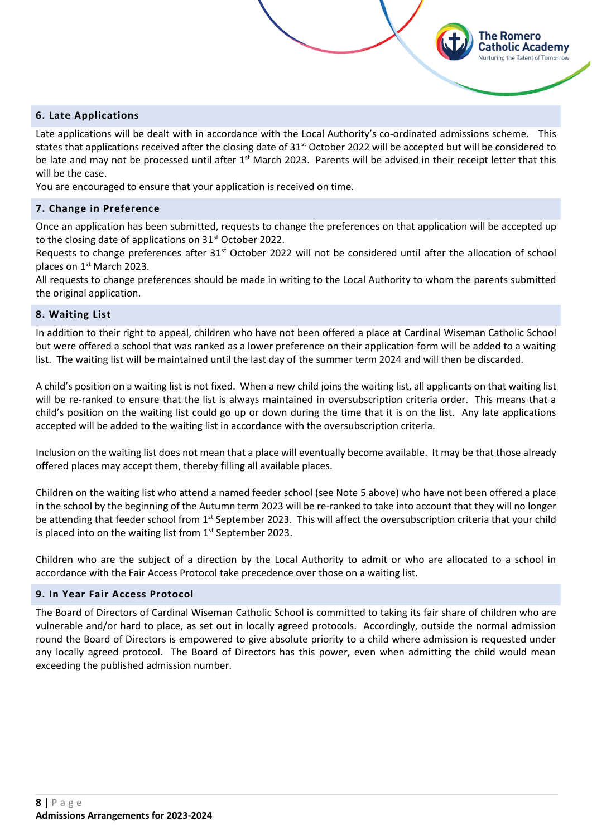# <span id="page-7-0"></span>**6. Late Applications**

Late applications will be dealt with in accordance with the Local Authority's co-ordinated admissions scheme. This states that applications received after the closing date of 31<sup>st</sup> October 2022 will be accepted but will be considered to be late and may not be processed until after  $1<sup>st</sup>$  March 2023. Parents will be advised in their receipt letter that this will be the case.

The Romero atholic Academy;

You are encouraged to ensure that your application is received on time.

# <span id="page-7-1"></span>**7. Change in Preference**

Once an application has been submitted, requests to change the preferences on that application will be accepted up to the closing date of applications on  $31<sup>st</sup>$  October 2022.

Requests to change preferences after 31<sup>st</sup> October 2022 will not be considered until after the allocation of school places on 1<sup>st</sup> March 2023.

All requests to change preferences should be made in writing to the Local Authority to whom the parents submitted the original application.

#### <span id="page-7-2"></span>**8. Waiting List**

In addition to their right to appeal, children who have not been offered a place at Cardinal Wiseman Catholic School but were offered a school that was ranked as a lower preference on their application form will be added to a waiting list. The waiting list will be maintained until the last day of the summer term 2024 and will then be discarded.

A child's position on a waiting list is not fixed. When a new child joins the waiting list, all applicants on that waiting list will be re-ranked to ensure that the list is always maintained in oversubscription criteria order. This means that a child's position on the waiting list could go up or down during the time that it is on the list. Any late applications accepted will be added to the waiting list in accordance with the oversubscription criteria.

Inclusion on the waiting list does not mean that a place will eventually become available. It may be that those already offered places may accept them, thereby filling all available places.

Children on the waiting list who attend a named feeder school (see Note 5 above) who have not been offered a place in the school by the beginning of the Autumn term 2023 will be re-ranked to take into account that they will no longer be attending that feeder school from 1<sup>st</sup> September 2023. This will affect the oversubscription criteria that your child is placed into on the waiting list from  $1<sup>st</sup>$  September 2023.

Children who are the subject of a direction by the Local Authority to admit or who are allocated to a school in accordance with the Fair Access Protocol take precedence over those on a waiting list.

# <span id="page-7-3"></span>**9. In Year Fair Access Protocol**

The Board of Directors of Cardinal Wiseman Catholic School is committed to taking its fair share of children who are vulnerable and/or hard to place, as set out in locally agreed protocols. Accordingly, outside the normal admission round the Board of Directors is empowered to give absolute priority to a child where admission is requested under any locally agreed protocol. The Board of Directors has this power, even when admitting the child would mean exceeding the published admission number.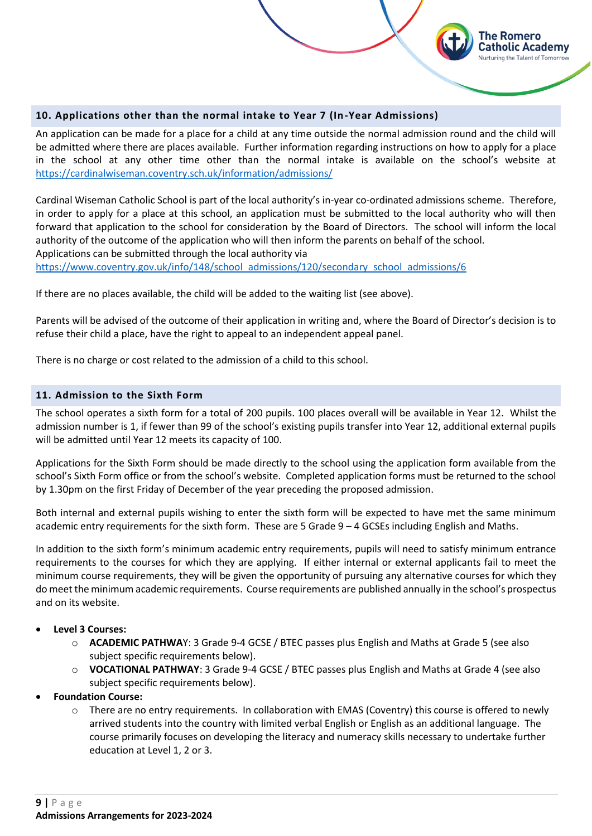<span id="page-8-0"></span>

An application can be made for a place for a child at any time outside the normal admission round and the child will be admitted where there are places available. Further information regarding instructions on how to apply for a place in the school at any other time other than the normal intake is available on the school's website at <https://cardinalwiseman.coventry.sch.uk/information/admissions/>

The Romero atholic Academy: **Nurturing the Talent of Tomorrow** 

Cardinal Wiseman Catholic School is part of the local authority's in-year co-ordinated admissions scheme. Therefore, in order to apply for a place at this school, an application must be submitted to the local authority who will then forward that application to the school for consideration by the Board of Directors. The school will inform the local authority of the outcome of the application who will then inform the parents on behalf of the school. Applications can be submitted through the local authority via

[https://www.coventry.gov.uk/info/148/school\\_admissions/120/secondary\\_school\\_admissions/6](https://www.coventry.gov.uk/info/148/school_admissions/120/secondary_school_admissions/6)

If there are no places available, the child will be added to the waiting list (see above).

Parents will be advised of the outcome of their application in writing and, where the Board of Director's decision is to refuse their child a place, have the right to appeal to an independent appeal panel.

There is no charge or cost related to the admission of a child to this school.

# <span id="page-8-1"></span>**11. Admission to the Sixth Form**

The school operates a sixth form for a total of 200 pupils. 100 places overall will be available in Year 12. Whilst the admission number is 1, if fewer than 99 of the school's existing pupils transfer into Year 12, additional external pupils will be admitted until Year 12 meets its capacity of 100.

Applications for the Sixth Form should be made directly to the school using the application form available from the school's Sixth Form office or from the school's website. Completed application forms must be returned to the school by 1.30pm on the first Friday of December of the year preceding the proposed admission.

Both internal and external pupils wishing to enter the sixth form will be expected to have met the same minimum academic entry requirements for the sixth form. These are 5 Grade  $9 - 4$  GCSEs including English and Maths.

In addition to the sixth form's minimum academic entry requirements, pupils will need to satisfy minimum entrance requirements to the courses for which they are applying. If either internal or external applicants fail to meet the minimum course requirements, they will be given the opportunity of pursuing any alternative courses for which they do meet the minimum academic requirements. Course requirements are published annually in the school's prospectus and on its website.

- **Level 3 Courses:**
	- o **ACADEMIC PATHWA**Y: 3 Grade 9-4 GCSE / BTEC passes plus English and Maths at Grade 5 (see also subject specific requirements below).
	- o **VOCATIONAL PATHWAY**: 3 Grade 9-4 GCSE / BTEC passes plus English and Maths at Grade 4 (see also subject specific requirements below).
- **Foundation Course:**
	- o There are no entry requirements. In collaboration with EMAS (Coventry) this course is offered to newly arrived students into the country with limited verbal English or English as an additional language. The course primarily focuses on developing the literacy and numeracy skills necessary to undertake further education at Level 1, 2 or 3.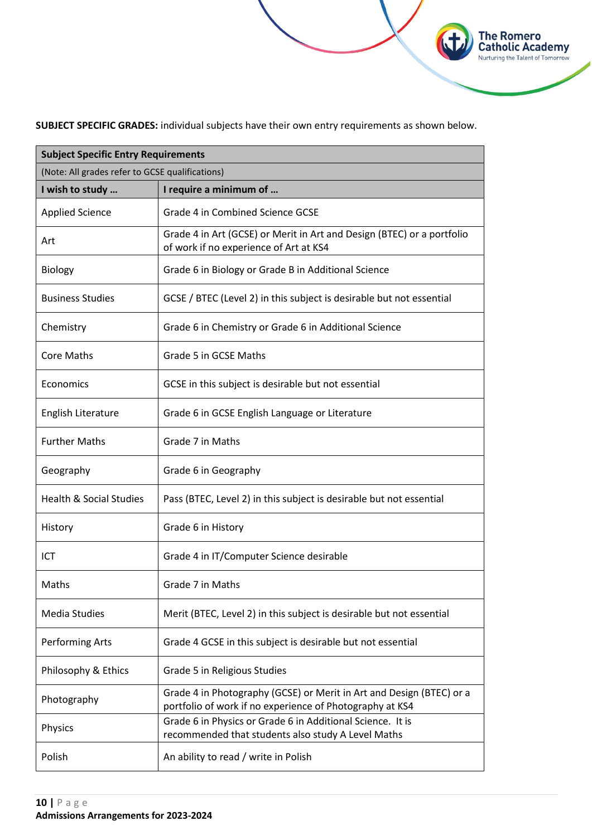**SUBJECT SPECIFIC GRADES:** individual subjects have their own entry requirements as shown below.

**The Romero<br>Catholic Academy**<br>Nurturing the Talent of Tomorrow

| <b>Subject Specific Entry Requirements</b><br>(Note: All grades refer to GCSE qualifications) |                                                                                                                                  |  |
|-----------------------------------------------------------------------------------------------|----------------------------------------------------------------------------------------------------------------------------------|--|
|                                                                                               |                                                                                                                                  |  |
| <b>Applied Science</b>                                                                        | Grade 4 in Combined Science GCSE                                                                                                 |  |
| Art                                                                                           | Grade 4 in Art (GCSE) or Merit in Art and Design (BTEC) or a portfolio<br>of work if no experience of Art at KS4                 |  |
| <b>Biology</b>                                                                                | Grade 6 in Biology or Grade B in Additional Science                                                                              |  |
| <b>Business Studies</b>                                                                       | GCSE / BTEC (Level 2) in this subject is desirable but not essential                                                             |  |
| Chemistry                                                                                     | Grade 6 in Chemistry or Grade 6 in Additional Science                                                                            |  |
| <b>Core Maths</b>                                                                             | Grade 5 in GCSE Maths                                                                                                            |  |
| Economics                                                                                     | GCSE in this subject is desirable but not essential                                                                              |  |
| <b>English Literature</b>                                                                     | Grade 6 in GCSE English Language or Literature                                                                                   |  |
| <b>Further Maths</b>                                                                          | Grade 7 in Maths                                                                                                                 |  |
| Geography                                                                                     | Grade 6 in Geography                                                                                                             |  |
| <b>Health &amp; Social Studies</b>                                                            | Pass (BTEC, Level 2) in this subject is desirable but not essential                                                              |  |
| History                                                                                       | Grade 6 in History                                                                                                               |  |
| ICT                                                                                           | Grade 4 in IT/Computer Science desirable                                                                                         |  |
| Maths                                                                                         | Grade 7 in Maths                                                                                                                 |  |
| <b>Media Studies</b>                                                                          | Merit (BTEC, Level 2) in this subject is desirable but not essential                                                             |  |
| <b>Performing Arts</b>                                                                        | Grade 4 GCSE in this subject is desirable but not essential                                                                      |  |
| Philosophy & Ethics                                                                           | Grade 5 in Religious Studies                                                                                                     |  |
| Photography                                                                                   | Grade 4 in Photography (GCSE) or Merit in Art and Design (BTEC) or a<br>portfolio of work if no experience of Photography at KS4 |  |
| Physics                                                                                       | Grade 6 in Physics or Grade 6 in Additional Science. It is<br>recommended that students also study A Level Maths                 |  |
| Polish                                                                                        | An ability to read / write in Polish                                                                                             |  |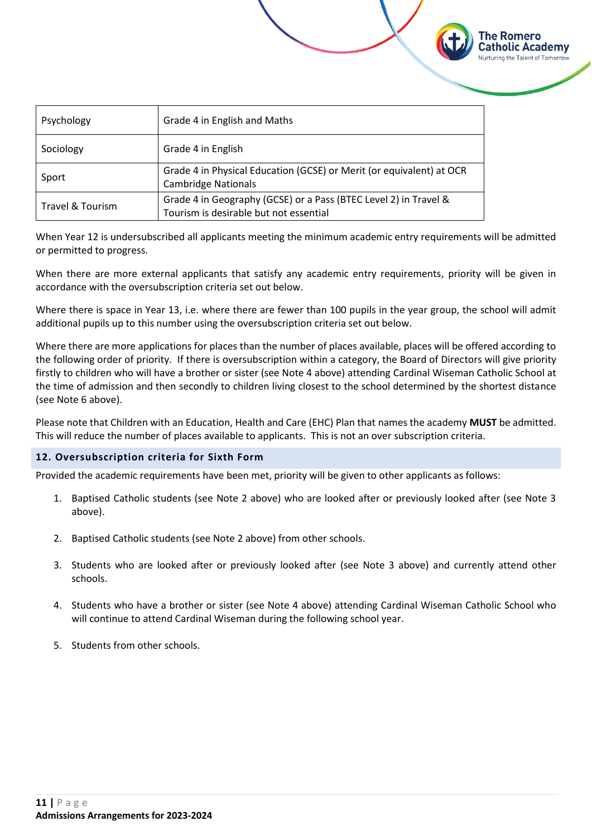| Psychology       | Grade 4 in English and Maths                                                                               |
|------------------|------------------------------------------------------------------------------------------------------------|
| Sociology        | Grade 4 in English                                                                                         |
| Sport            | Grade 4 in Physical Education (GCSE) or Merit (or equivalent) at OCR<br><b>Cambridge Nationals</b>         |
| Travel & Tourism | Grade 4 in Geography (GCSE) or a Pass (BTEC Level 2) in Travel &<br>Tourism is desirable but not essential |

When Year 12 is undersubscribed all applicants meeting the minimum academic entry requirements will be admitted or permitted to progress.

The Romero Catholic Academy Nurturing the Talent of Tomorrow

When there are more external applicants that satisfy any academic entry requirements, priority will be given in accordance with the oversubscription criteria set out below.

Where there is space in Year 13, i.e. where there are fewer than 100 pupils in the year group, the school will admit additional pupils up to this number using the oversubscription criteria set out below.

Where there are more applications for places than the number of places available, places will be offered according to the following order of priority. If there is oversubscription within a category, the Board of Directors will give priority firstly to children who will have a brother or sister (see Note 4 above) attending Cardinal Wiseman Catholic School at the time of admission and then secondly to children living closest to the school determined by the shortest distance (see Note 6 above).

Please note that Children with an Education, Health and Care (EHC) Plan that names the academy **MUST** be admitted. This will reduce the number of places available to applicants. This is not an over subscription criteria.

#### <span id="page-10-0"></span>**12. Oversubscription criteria for Sixth Form**

Provided the academic requirements have been met, priority will be given to other applicants as follows:

- 1. Baptised Catholic students (see Note 2 above) who are looked after or previously looked after (see Note 3 above).
- 2. Baptised Catholic students (see Note 2 above) from other schools.
- 3. Students who are looked after or previously looked after (see Note 3 above) and currently attend other schools.
- 4. Students who have a brother or sister (see Note 4 above) attending Cardinal Wiseman Catholic School who will continue to attend Cardinal Wiseman during the following school year.
- 5. Students from other schools.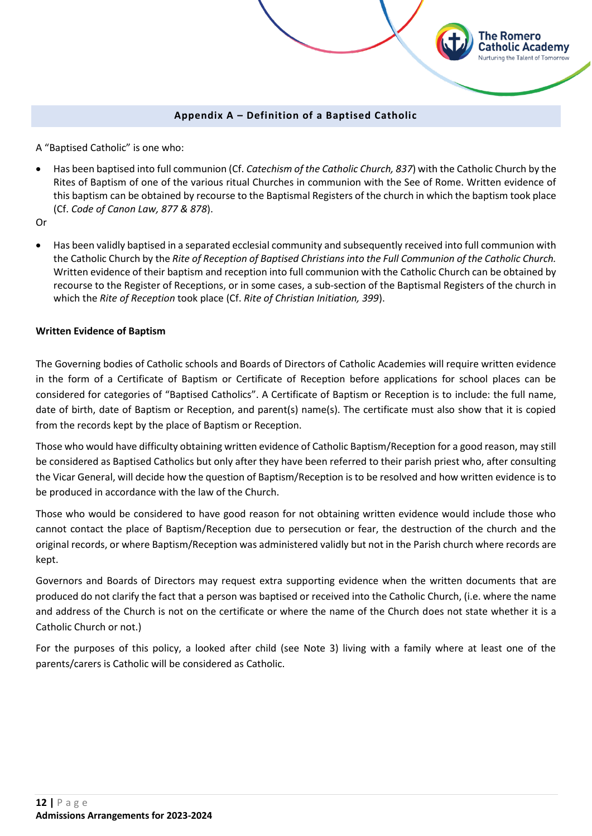# **Appendix A – Definition of a Baptised Catholic**

The Romero Catholic Academy Nurturing the Talent of Tomorrow

<span id="page-11-0"></span>A "Baptised Catholic" is one who:

• Has been baptised into full communion (Cf. *Catechism of the Catholic Church, 837*) with the Catholic Church by the Rites of Baptism of one of the various ritual Churches in communion with the See of Rome. Written evidence of this baptism can be obtained by recourse to the Baptismal Registers of the church in which the baptism took place (Cf. *Code of Canon Law, 877 & 878*).

Or

• Has been validly baptised in a separated ecclesial community and subsequently received into full communion with the Catholic Church by the *Rite of Reception of Baptised Christians into the Full Communion of the Catholic Church.* Written evidence of their baptism and reception into full communion with the Catholic Church can be obtained by recourse to the Register of Receptions, or in some cases, a sub-section of the Baptismal Registers of the church in which the *Rite of Reception* took place (Cf. *Rite of Christian Initiation, 399*).

# **Written Evidence of Baptism**

The Governing bodies of Catholic schools and Boards of Directors of Catholic Academies will require written evidence in the form of a Certificate of Baptism or Certificate of Reception before applications for school places can be considered for categories of "Baptised Catholics". A Certificate of Baptism or Reception is to include: the full name, date of birth, date of Baptism or Reception, and parent(s) name(s). The certificate must also show that it is copied from the records kept by the place of Baptism or Reception.

Those who would have difficulty obtaining written evidence of Catholic Baptism/Reception for a good reason, may still be considered as Baptised Catholics but only after they have been referred to their parish priest who, after consulting the Vicar General, will decide how the question of Baptism/Reception is to be resolved and how written evidence is to be produced in accordance with the law of the Church.

Those who would be considered to have good reason for not obtaining written evidence would include those who cannot contact the place of Baptism/Reception due to persecution or fear, the destruction of the church and the original records, or where Baptism/Reception was administered validly but not in the Parish church where records are kept.

Governors and Boards of Directors may request extra supporting evidence when the written documents that are produced do not clarify the fact that a person was baptised or received into the Catholic Church, (i.e. where the name and address of the Church is not on the certificate or where the name of the Church does not state whether it is a Catholic Church or not.)

For the purposes of this policy, a looked after child (see Note 3) living with a family where at least one of the parents/carers is Catholic will be considered as Catholic.